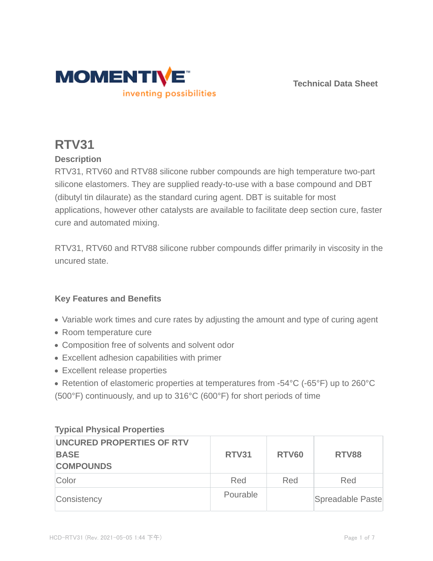

**Technical Data Sheet**

# **RTV31**

## **Description**

RTV31, RTV60 and RTV88 silicone rubber compounds are high temperature two-part silicone elastomers. They are supplied ready-to-use with a base compound and DBT (dibutyl tin dilaurate) as the standard curing agent. DBT is suitable for most applications, however other catalysts are available to facilitate deep section cure, faster cure and automated mixing.

RTV31, RTV60 and RTV88 silicone rubber compounds differ primarily in viscosity in the uncured state.

## **Key Features and Benefits**

- Variable work times and cure rates by adjusting the amount and type of curing agent
- Room temperature cure
- Composition free of solvents and solvent odor
- Excellent adhesion capabilities with primer
- Excellent release properties
- Retention of elastomeric properties at temperatures from -54°C (-65°F) up to 260°C (500°F) continuously, and up to 316°C (600°F) for short periods of time

| <b>UNCURED PROPERTIES OF RTV</b><br><b>BASE</b><br><b>COMPOUNDS</b> | <b>RTV31</b> | <b>RTV60</b> | <b>RTV88</b>     |
|---------------------------------------------------------------------|--------------|--------------|------------------|
| Color                                                               | Red          | Red          | Red              |
| Consistency                                                         | Pourable     |              | Spreadable Paste |

### **Typical Physical Properties**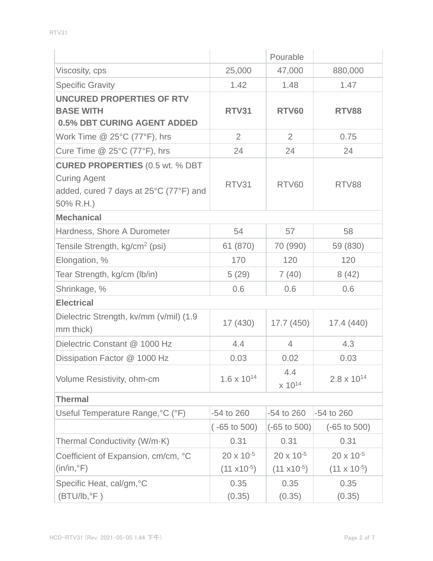|                                                                                                                      |                                              | Pourable                                     |                                              |
|----------------------------------------------------------------------------------------------------------------------|----------------------------------------------|----------------------------------------------|----------------------------------------------|
| Viscosity, cps                                                                                                       | 25,000                                       | 47,000                                       | 880,000                                      |
| <b>Specific Gravity</b>                                                                                              | 1.42                                         | 1.48                                         | 1.47                                         |
| UNCURED PROPERTIES OF RTV<br><b>BASE WITH</b><br><b>0.5% DBT CURING AGENT ADDED</b>                                  | <b>RTV31</b>                                 | <b>RTV60</b>                                 | <b>RTV88</b>                                 |
| Work Time @ 25°C (77°F), hrs                                                                                         | 2                                            | $\overline{2}$                               | 0.75                                         |
| Cure Time $@$ 25 $°C$ (77 $°F$ ), hrs                                                                                | 24                                           | 24                                           | 24                                           |
| <b>CURED PROPERTIES (0.5 wt. % DBT</b><br><b>Curing Agent</b><br>added, cured 7 days at 25°C (77°F) and<br>50% R.H.) | RTV31                                        | RTV60                                        | RTV88                                        |
| <b>Mechanical</b>                                                                                                    |                                              |                                              |                                              |
| Hardness, Shore A Durometer                                                                                          | 54                                           | 57                                           | 58                                           |
| Tensile Strength, kg/cm <sup>2</sup> (psi)                                                                           | 61 (870)                                     | 70 (990)                                     | 59 (830)                                     |
| Elongation, %                                                                                                        | 170                                          | 120                                          | 120                                          |
| Tear Strength, kg/cm (lb/in)                                                                                         | 5(29)                                        | 7(40)                                        | 8(42)                                        |
| Shrinkage, %                                                                                                         | 0.6                                          | 0.6                                          | 0.6                                          |
| <b>Electrical</b>                                                                                                    |                                              |                                              |                                              |
| Dielectric Strength, kv/mm (v/mil) (1.9<br>mm thick)                                                                 | 17 (430)                                     | 17.7(450)                                    | 17.4 (440)                                   |
| Dielectric Constant @ 1000 Hz                                                                                        | 4.4                                          | $\overline{4}$                               | 4.3                                          |
| Dissipation Factor @ 1000 Hz                                                                                         | 0.03                                         | 0.02                                         | 0.03                                         |
| Volume Resistivity, ohm-cm                                                                                           | $1.6 \times 10^{14}$                         | 4.4<br>x 10 <sup>14</sup>                    | $2.8 \times 10^{14}$                         |
| <b>Thermal</b>                                                                                                       |                                              |                                              |                                              |
| Useful Temperature Range, °C (°F)                                                                                    | -54 to 260                                   | -54 to 260                                   | $-54$ to 260                                 |
|                                                                                                                      | $(-65 \text{ to } 500)$                      | $(-65 \text{ to } 500)$                      | $(-65 \text{ to } 500)$                      |
| Thermal Conductivity (W/m-K)                                                                                         | 0.31                                         | 0.31                                         | 0.31                                         |
| Coefficient of Expansion, cm/cm, °C<br>$(in/in, \degree F)$                                                          | $20 \times 10^{-5}$<br>$(11 \times 10^{-5})$ | $20 \times 10^{-5}$<br>$(11 \times 10^{-5})$ | $20 \times 10^{-5}$<br>$(11 \times 10^{-5})$ |
| Specific Heat, cal/gm, °C<br>$(BTU/lb, ^{\circ}F)$                                                                   | 0.35<br>(0.35)                               | 0.35<br>(0.35)                               | 0.35<br>(0.35)                               |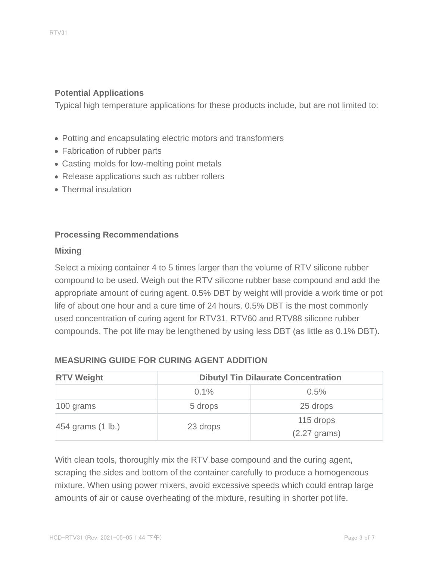#### **Potential Applications**

Typical high temperature applications for these products include, but are not limited to:

- Potting and encapsulating electric motors and transformers
- Fabrication of rubber parts
- Casting molds for low-melting point metals
- Release applications such as rubber rollers
- Thermal insulation

#### **Processing Recommendations**

#### **Mixing**

Select a mixing container 4 to 5 times larger than the volume of RTV silicone rubber compound to be used. Weigh out the RTV silicone rubber base compound and add the appropriate amount of curing agent. 0.5% DBT by weight will provide a work time or pot life of about one hour and a cure time of 24 hours. 0.5% DBT is the most commonly used concentration of curing agent for RTV31, RTV60 and RTV88 silicone rubber compounds. The pot life may be lengthened by using less DBT (as little as 0.1% DBT).

| <b>RTV Weight</b>             | <b>Dibutyl Tin Dilaurate Concentration</b> |                              |  |
|-------------------------------|--------------------------------------------|------------------------------|--|
|                               | $0.1\%$                                    | 0.5%                         |  |
| $ 100 \text{ grams} $         | 5 drops                                    | 25 drops                     |  |
| $454$ grams $(1 \text{ lb.})$ | 23 drops                                   | 115 drops<br>$(2.27)$ grams) |  |

#### **MEASURING GUIDE FOR CURING AGENT ADDITION**

With clean tools, thoroughly mix the RTV base compound and the curing agent, scraping the sides and bottom of the container carefully to produce a homogeneous mixture. When using power mixers, avoid excessive speeds which could entrap large amounts of air or cause overheating of the mixture, resulting in shorter pot life.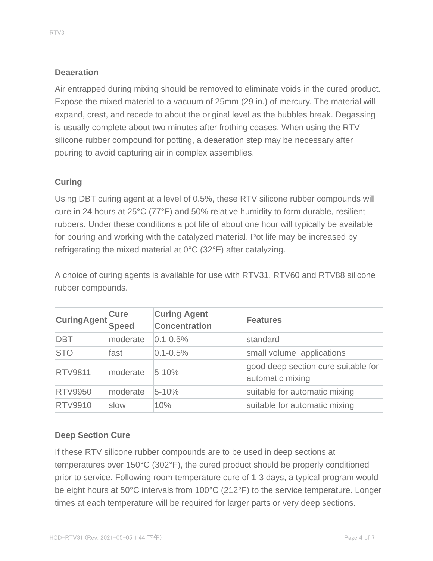## **Deaeration**

Air entrapped during mixing should be removed to eliminate voids in the cured product. Expose the mixed material to a vacuum of 25mm (29 in.) of mercury. The material will expand, crest, and recede to about the original level as the bubbles break. Degassing is usually complete about two minutes after frothing ceases. When using the RTV silicone rubber compound for potting, a deaeration step may be necessary after pouring to avoid capturing air in complex assemblies.

## **Curing**

Using DBT curing agent at a level of 0.5%, these RTV silicone rubber compounds will cure in 24 hours at 25°C (77°F) and 50% relative humidity to form durable, resilient rubbers. Under these conditions a pot life of about one hour will typically be available for pouring and working with the catalyzed material. Pot life may be increased by refrigerating the mixed material at 0°C (32°F) after catalyzing.

A choice of curing agents is available for use with RTV31, RTV60 and RTV88 silicone rubber compounds.

| CuringAgent    | <b>Cure</b><br>Speed | <b>Curing Agent</b><br><b>Concentration</b> | Features                                                |
|----------------|----------------------|---------------------------------------------|---------------------------------------------------------|
| <b>DBT</b>     | moderate             | $0.1 - 0.5%$                                | standard                                                |
| <b>STO</b>     | fast                 | $0.1 - 0.5%$                                | small volume applications                               |
| <b>RTV9811</b> | moderate             | $5 - 10%$                                   | good deep section cure suitable for<br>automatic mixing |
| <b>RTV9950</b> | moderate             | $5 - 10%$                                   | suitable for automatic mixing                           |
| <b>RTV9910</b> | slow                 | 10%                                         | suitable for automatic mixing                           |

## **Deep Section Cure**

If these RTV silicone rubber compounds are to be used in deep sections at temperatures over 150°C (302°F), the cured product should be properly conditioned prior to service. Following room temperature cure of 1-3 days, a typical program would be eight hours at 50°C intervals from 100°C (212°F) to the service temperature. Longer times at each temperature will be required for larger parts or very deep sections.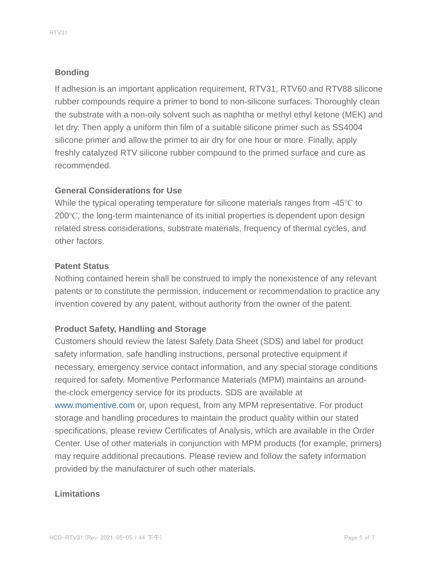## **Bonding**

If adhesion is an important application requirement, RTV31, RTV60 and RTV88 silicone rubber compounds require a primer to bond to non-silicone surfaces. Thoroughly clean the substrate with a non-oily solvent such as naphtha or methyl ethyl ketone (MEK) and let dry. Then apply a uniform thin film of a suitable silicone primer such as SS4004 silicone primer and allow the primer to air dry for one hour or more. Finally, apply freshly catalyzed RTV silicone rubber compound to the primed surface and cure as recommended.

## **General Considerations for Use**

While the typical operating temperature for silicone materials ranges from -45℃ to 200℃, the long-term maintenance of its initial properties is dependent upon design related stress considerations, substrate materials, frequency of thermal cycles, and other factors.

### **Patent Status**

Nothing contained herein shall be construed to imply the nonexistence of any relevant patents or to constitute the permission, inducement or recommendation to practice any invention covered by any patent, without authority from the owner of the patent.

## **Product Safety, Handling and Storage**

Customers should review the latest Safety Data Sheet (SDS) and label for product safety information, safe handling instructions, personal protective equipment if necessary, emergency service contact information, and any special storage conditions required for safety. Momentive Performance Materials (MPM) maintains an aroundthe-clock emergency service for its products. SDS are available at www.momentive.com or, upon request, from any MPM representative. For product storage and handling procedures to maintain the product quality within our stated specifications, please review Certificates of Analysis, which are available in the Order Center. Use of other materials in conjunction with MPM products (for example, primers) may require additional precautions. Please review and follow the safety information provided by the manufacturer of such other materials.

### **Limitations**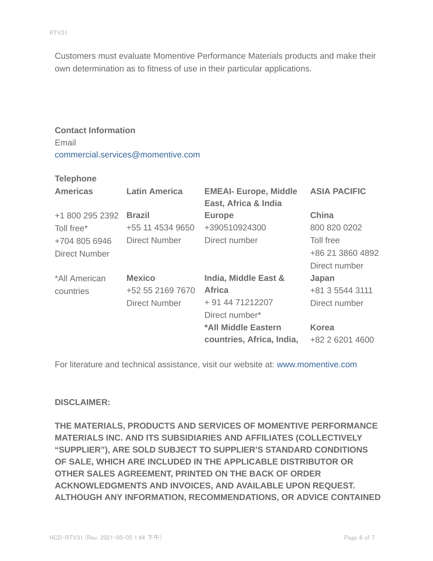Customers must evaluate Momentive Performance Materials products and make their own determination as to fitness of use in their particular applications.

## **Contact Information** Email commercial.services@momentive.com

#### **Telephone**

| <b>Americas</b>      | <b>Latin America</b> | <b>EMEAI- Europe, Middle</b><br>East, Africa & India | <b>ASIA PACIFIC</b> |
|----------------------|----------------------|------------------------------------------------------|---------------------|
| +1 800 295 2392      | <b>Brazil</b>        | <b>Europe</b>                                        | <b>China</b>        |
| Toll free*           | +55 11 4534 9650     | +390510924300                                        | 800 820 0202        |
| +704 805 6946        | <b>Direct Number</b> | Direct number                                        | Toll free           |
| <b>Direct Number</b> |                      |                                                      | +86 21 3860 4892    |
|                      |                      |                                                      | Direct number       |
| *All American        | <b>Mexico</b>        | India, Middle East &                                 | Japan               |
| countries            | +52 55 2169 7670     | <b>Africa</b>                                        | +81 3 5544 3111     |
|                      | <b>Direct Number</b> | + 91 44 71212207                                     | Direct number       |
|                      |                      | Direct number*                                       |                     |
|                      |                      | *All Middle Eastern                                  | <b>Korea</b>        |
|                      |                      | countries, Africa, India,                            | +82 2 6201 4600     |

For literature and technical assistance, visit our website at: www.momentive.com

#### **DISCLAIMER:**

**THE MATERIALS, PRODUCTS AND SERVICES OF MOMENTIVE PERFORMANCE MATERIALS INC. AND ITS SUBSIDIARIES AND AFFILIATES (COLLECTIVELY "SUPPLIER"), ARE SOLD SUBJECT TO SUPPLIER'S STANDARD CONDITIONS OF SALE, WHICH ARE INCLUDED IN THE APPLICABLE DISTRIBUTOR OR OTHER SALES AGREEMENT, PRINTED ON THE BACK OF ORDER ACKNOWLEDGMENTS AND INVOICES, AND AVAILABLE UPON REQUEST. ALTHOUGH ANY INFORMATION, RECOMMENDATIONS, OR ADVICE CONTAINED**